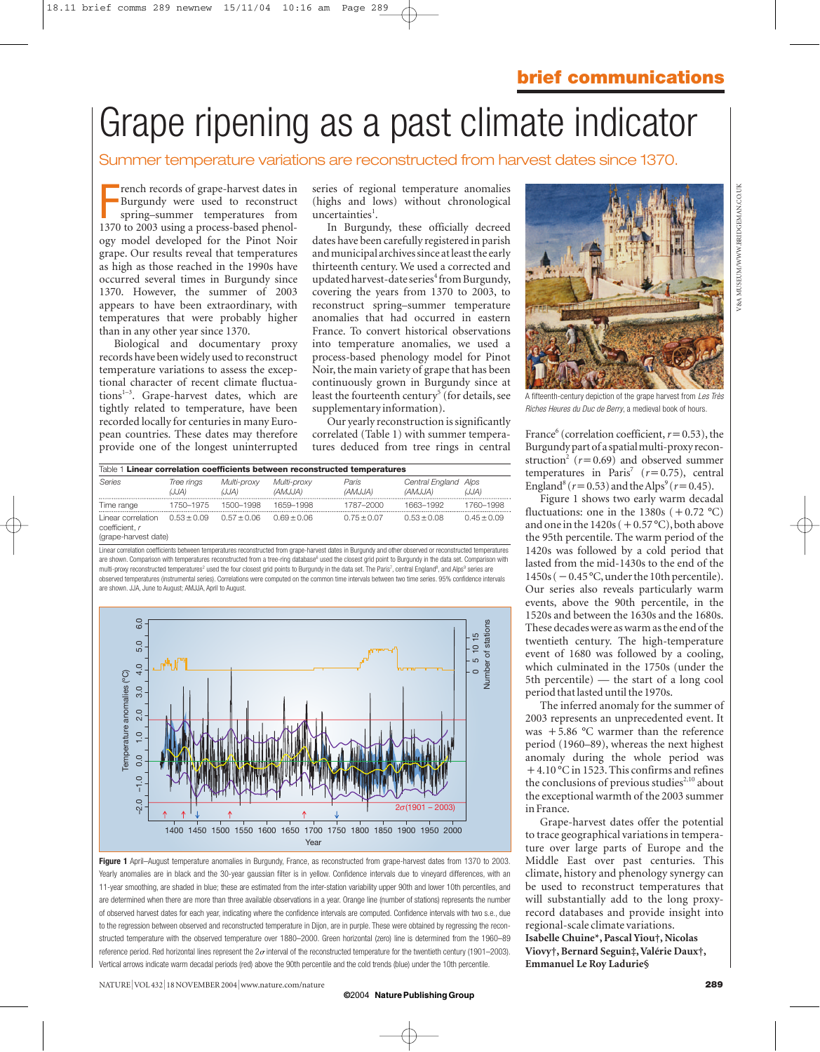# Grape ripening as a past climate indicator

## Summer temperature variations are reconstructed from harvest dates since 1370.

Franch records of grape-harvest dates in<br>Burgundy were used to reconstruct<br>spring-summer temperatures from<br>1370 to 2003 using a process-based phenolrench records of grape-harvest dates in Burgundy were used to reconstruct spring–summer temperatures from ogy model developed for the Pinot Noir grape. Our results reveal that temperatures as high as those reached in the 1990s have occurred several times in Burgundy since 1370. However, the summer of 2003 appears to have been extraordinary, with temperatures that were probably higher than in any other year since 1370.

Biological and documentary proxy records have been widely used to reconstruct temperature variations to assess the exceptional character of recent climate fluctuations $1-3$ . Grape-harvest dates, which are tightly related to temperature, have been recorded locally for centuries in many European countries. These dates may therefore provide one of the longest uninterrupted

series of regional temperature anomalies (highs and lows) without chronological uncertainties<sup>1</sup>.

In Burgundy, these officially decreed dates have been carefully registered in parish and municipal archives since at least the early thirteenth century. We used a corrected and updated harvest-date series<sup>4</sup> from Burgundy, covering the years from 1370 to 2003, to reconstruct spring–summer temperature anomalies that had occurred in eastern France. To convert historical observations into temperature anomalies, we used a process-based phenology model for Pinot Noir, the main variety of grape that has been continuously grown in Burgundy since at least the fourteenth century<sup>5</sup> (for details, see supplementary information).

Our yearly reconstruction is significantly correlated (Table 1) with summer temperatures deduced from tree rings in central

| Table 1 Linear correlation coefficients between reconstructed temperatures |                     |                      |                        |                  |                                 |               |
|----------------------------------------------------------------------------|---------------------|----------------------|------------------------|------------------|---------------------------------|---------------|
| Series                                                                     | Tree rings<br>(JJA) | Multi-proxy<br>(JJA) | Multi-proxv<br>(AMJJA) | Paris<br>(AMJJA) | Central England Alps<br>(AMJJA) | (JJA)         |
| Time range                                                                 | 1750–1975           | 1500-1998            | 1659-1998              | 1787-2000        | 1663-1992                       | 1760-1998     |
| Linear correlation<br>coefficient. r                                       | $0.53 \pm 0.09$     | $0.57 + 0.06$        | $0.69 + 0.06$          | $0.75 \pm 0.07$  | $0.53 + 0.08$                   | $0.45 + 0.09$ |

(grape-harvest date)

Linear correlation coefficients between temperatures reconstructed from grape-harvest dates in Burgundy and other observed or reconstructed temperatures are shown. Comparison with temperatures reconstructed from a tree-ring database<sup>6</sup> used the closest grid point to Burgundy in the data set. Comparison with multi-proxy reconstructed temperatures<sup>2</sup> used the four closest grid points to Burgundy in the data set. The Paris<sup>7</sup>, central England<sup>8</sup>, and Alps<sup>9</sup> series are observed temperatures (instrumental series). Correlations were computed on the common time intervals between two time series. 95% confidence intervals are shown. JJA, June to August; AMJJA, April to August.



Figure 1 April–August temperature anomalies in Burgundy, France, as reconstructed from grape-harvest dates from 1370 to 2003. Yearly anomalies are in black and the 30-year gaussian filter is in yellow. Confidence intervals due to vineyard differences, with an 11-year smoothing, are shaded in blue; these are estimated from the inter-station variability upper 90th and lower 10th percentiles, and are determined when there are more than three available observations in a year. Orange line (number of stations) represents the number of observed harvest dates for each year, indicating where the confidence intervals are computed. Confidence intervals with two s.e., due to the regression between observed and reconstructed temperature in Dijon, are in purple. These were obtained by regressing the reconstructed temperature with the observed temperature over 1880–2000. Green horizontal (zero) line is determined from the 1960–89 reference period. Red horizontal lines represent the  $2\sigma$  interval of the reconstructed temperature for the twentieth century (1901–2003). Vertical arrows indicate warm decadal periods (red) above the 90th percentile and the cold trends (blue) under the 10th percentile.

NATURE|VOL 432 <sup>|</sup> 18 NOVEMBER 2004 <sup>|</sup>www.nature.com/nature **289**

### **©** 2004 **NaturePublishingGroup**



A fifteenth-century depiction of the grape harvest from *Les Très Riches Heures du Duc de Berry*, a medieval book of hours.

France<sup>6</sup> (correlation coefficient,  $r=0.53$ ), the Burgundy part of a spatial multi-proxy reconstruction<sup>2</sup> ( $r=0.69$ ) and observed summer temperatures in Paris<sup>7</sup> ( $r=0.75$ ), central England<sup>8</sup> ( $r=0.53$ ) and the Alps<sup>9</sup> ( $r=0.45$ ).

Figure 1 shows two early warm decadal fluctuations: one in the  $1380s (+0.72 °C)$ and one in the  $1420s$  (  $+$  0.57 °C), both above the 95th percentile. The warm period of the 1420s was followed by a cold period that lasted from the mid-1430s to the end of the  $1450s$  ( $-0.45$  °C, under the 10th percentile). Our series also reveals particularly warm events, above the 90th percentile, in the 1520s and between the 1630s and the 1680s. These decades were as warm as the end of the twentieth century. The high-temperature event of 1680 was followed by a cooling, which culminated in the 1750s (under the 5th percentile) — the start of a long cool period that lasted until the 1970s.

The inferred anomaly for the summer of 2003 represents an unprecedented event. It was +5.86 °C warmer than the reference period (1960–89), whereas the next highest anomaly during the whole period was -4.10 °C in 1523. This confirms and refines the conclusions of previous studies<sup>2,10</sup> about the exceptional warmth of the 2003 summer in France.

Grape-harvest dates offer the potential to trace geographical variations in temperature over large parts of Europe and the Middle East over past centuries. This climate, history and phenology synergy can be used to reconstruct temperatures that will substantially add to the long proxyrecord databases and provide insight into regional-scale climate variations. **Isabelle Chuine\*, Pascal Yiou†, Nicolas Viovy†, Bernard Seguin‡, Valérie Daux†, Emmanuel Le Roy Ladurie§**